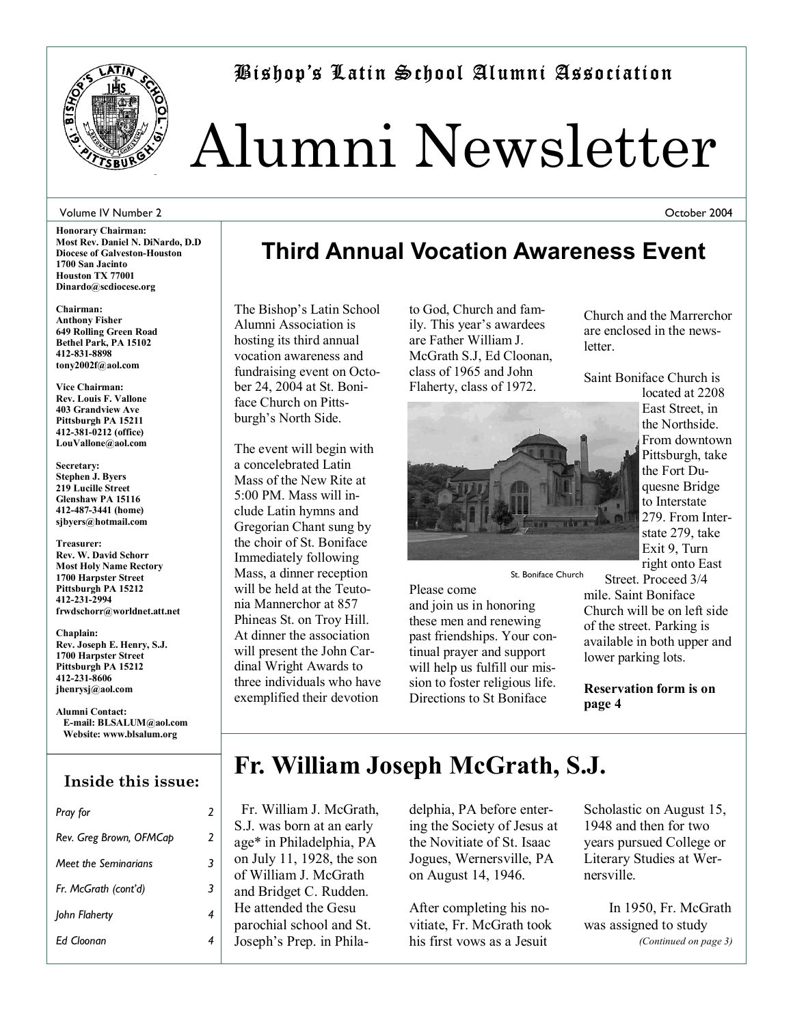

Bishopís Latin School Alumni Association

# Alumni Newsletter

#### Volume IV Number 2

**Honorary Chairman: Most Rev. Daniel N. DiNardo, D.D Diocese of Galveston-Houston 1700 San Jacinto Houston TX 77001 Dinardo@scdiocese.org** 

**Chairman: Anthony Fisher 649 Rolling Green Road Bethel Park, PA 15102 412-831-8898 tony2002f@aol.com** 

**Vice Chairman: Rev. Louis F. Vallone 403 Grandview Ave Pittsburgh PA 15211 412-381-0212 (office) LouVallone@aol.com** 

**Secretary: Stephen J. Byers 219 Lucille Street Glenshaw PA 15116 412-487-3441 (home) sjbyers@hotmail.com** 

**Treasurer: Rev. W. David Schorr Most Holy Name Rectory 1700 Harpster Street Pittsburgh PA 15212 412-231-2994 frwdschorr@worldnet.att.net** 

**Chaplain: Rev. Joseph E. Henry, S.J. 1700 Harpster Street Pittsburgh PA 15212 412-231-8606 jhenrysj@aol.com** 

**Alumni Contact: E-mail: BLSALUM@aol.com Website: www.blsalum.org**

### **Inside this issue:**

| Pray for                | 2 |
|-------------------------|---|
| Rev. Greg Brown, OFMCap | 2 |
| Meet the Seminarians    | 3 |
| Fr. McGrath (cont'd)    | 3 |
| John Flaherty           | 4 |
| Ed Cloonan              |   |
|                         |   |

### **Third Annual Vocation Awareness Event**

The Bishop's Latin School Alumni Association is hosting its third annual vocation awareness and fundraising event on October 24, 2004 at St. Boniface Church on Pittsburgh's North Side.

The event will begin with a concelebrated Latin Mass of the New Rite at 5:00 PM. Mass will include Latin hymns and Gregorian Chant sung by the choir of St. Boniface Immediately following Mass, a dinner reception will be held at the Teutonia Mannerchor at 857 Phineas St. on Troy Hill. At dinner the association will present the John Cardinal Wright Awards to three individuals who have exemplified their devotion

to God, Church and family. This year's awardees are Father William J. McGrath S.J, Ed Cloonan, class of 1965 and John Flaherty, class of 1972.



St. Boniface Church

Please come and join us in honoring these men and renewing past friendships. Your continual prayer and support will help us fulfill our mission to foster religious life. Directions to St Boniface

Church and the Marrerchor are enclosed in the newsletter.

Saint Boniface Church is

located at 2208 East Street, in the Northside. From downtown Pittsburgh, take the Fort Duquesne Bridge to Interstate 279. From Interstate 279, take Exit 9, Turn right onto East

Street. Proceed 3/4

mile. Saint Boniface Church will be on left side of the street. Parking is available in both upper and lower parking lots.

**Reservation form is on page 4** 

### **Fr. William Joseph McGrath, S.J.**

Fr. William J. McGrath, S.J. was born at an early age\* in Philadelphia, PA on July 11, 1928, the son of William J. McGrath and Bridget C. Rudden. He attended the Gesu parochial school and St. Joseph's Prep. in Phila-

delphia, PA before entering the Society of Jesus at the Novitiate of St. Isaac Jogues, Wernersville, PA on August 14, 1946.

After completing his novitiate, Fr. McGrath took his first vows as a Jesuit

Scholastic on August 15, 1948 and then for two years pursued College or Literary Studies at Wernersville.

 In 1950, Fr. McGrath was assigned to study *(Continued on page 3)* 

October 2004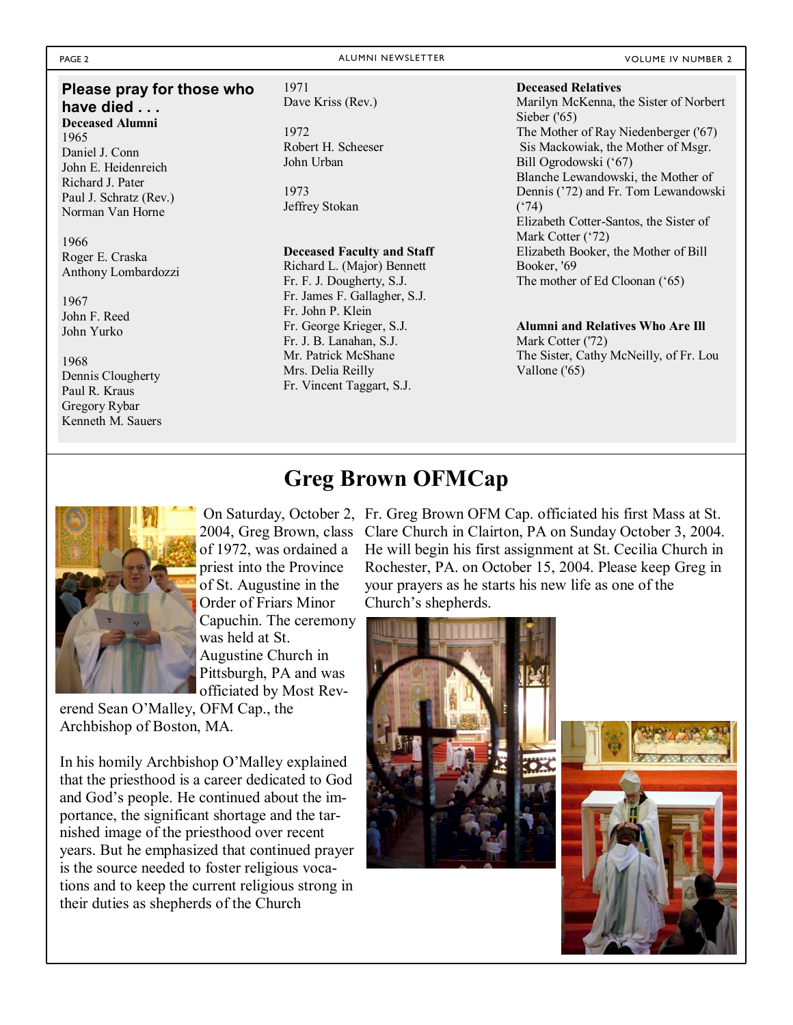#### PAGE 2 ALUMNI NEWSLETTER ALUMNI NEWSLETTER ALUMNI NEWSLETTER CONTROLLER AND LUMBER 2

#### **Please pray for those who have died . . . Deceased Alumni**

1965 Daniel J. Conn John E. Heidenreich Richard J. Pater Paul J. Schratz (Rev.) Norman Van Horne

#### 1966 Roger E. Craska Anthony Lombardozzi

1967 John F. Reed John Yurko

#### 1968 Dennis Clougherty

Paul R. Kraus Gregory Rybar Kenneth M. Sauers

#### 1971

Dave Kriss (Rev.)

#### 1972 Robert H. Scheeser John Urban

1973 Jeffrey Stokan

#### **Deceased Faculty and Staff**

Richard L. (Major) Bennett Fr. F. J. Dougherty, S.J. Fr. James F. Gallagher, S.J. Fr. John P. Klein Fr. George Krieger, S.J. Fr. J. B. Lanahan, S.J. Mr. Patrick McShane Mrs. Delia Reilly Fr. Vincent Taggart, S.J.

#### **Deceased Relatives**

Marilyn McKenna, the Sister of Norbert Sieber ('65) The Mother of Ray Niedenberger ('67) Sis Mackowiak, the Mother of Msgr. Bill Ogrodowski ('67) Blanche Lewandowski, the Mother of Dennis ('72) and Fr. Tom Lewandowski  $(^{6}74)$ Elizabeth Cotter-Santos, the Sister of Mark Cotter ('72) Elizabeth Booker, the Mother of Bill Booker, '69 The mother of Ed Cloonan ('65)

#### **Alumni and Relatives Who Are Ill**  Mark Cotter ('72) The Sister, Cathy McNeilly, of Fr. Lou Vallone ('65)

### **Greg Brown OFMCap**



of 1972, was ordained a priest into the Province of St. Augustine in the Order of Friars Minor Capuchin. The ceremony was held at St. Augustine Church in Pittsburgh, PA and was officiated by Most Rev-

erend Sean O'Malley, OFM Cap., the Archbishop of Boston, MA.

In his homily Archbishop O'Malley explained that the priesthood is a career dedicated to God and God's people. He continued about the importance, the significant shortage and the tarnished image of the priesthood over recent years. But he emphasized that continued prayer is the source needed to foster religious vocations and to keep the current religious strong in their duties as shepherds of the Church

 On Saturday, October 2, Fr. Greg Brown OFM Cap. officiated his first Mass at St. 2004, Greg Brown, class Clare Church in Clairton, PA on Sunday October 3, 2004. He will begin his first assignment at St. Cecilia Church in Rochester, PA. on October 15, 2004. Please keep Greg in your prayers as he starts his new life as one of the Church's shepherds.



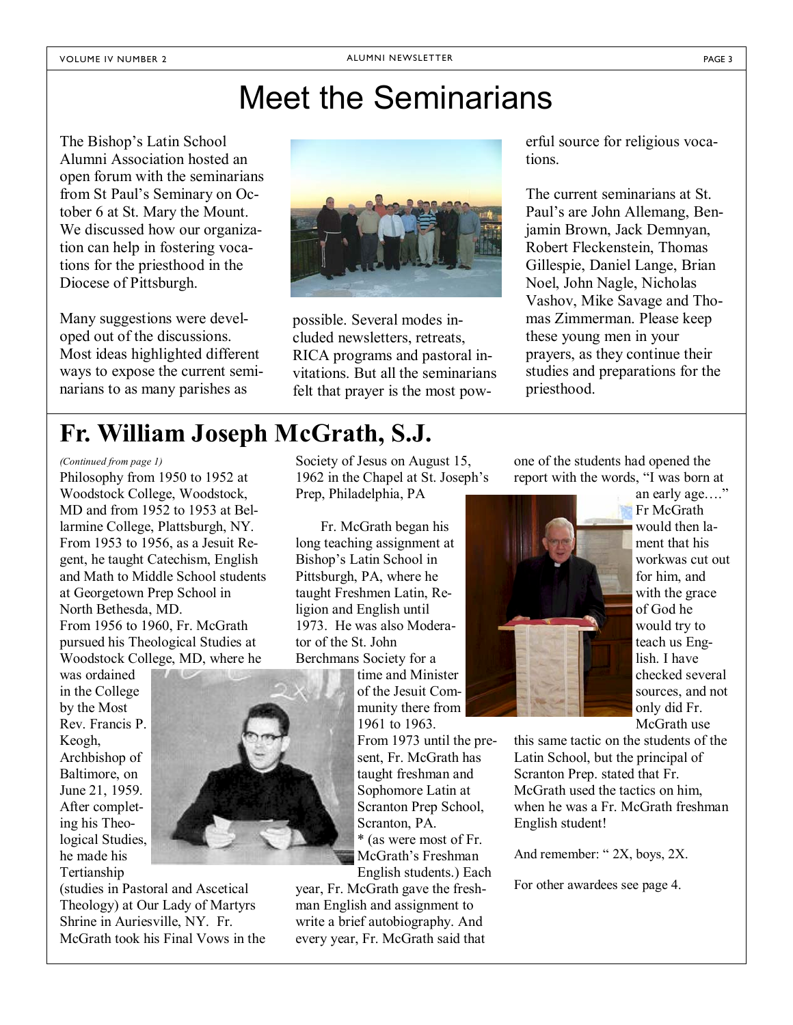### Meet the Seminarians

The Bishop's Latin School Alumni Association hosted an open forum with the seminarians from St Paul's Seminary on October 6 at St. Mary the Mount. We discussed how our organization can help in fostering vocations for the priesthood in the Diocese of Pittsburgh.

Many suggestions were developed out of the discussions. Most ideas highlighted different ways to expose the current seminarians to as many parishes as



possible. Several modes included newsletters, retreats, RICA programs and pastoral invitations. But all the seminarians felt that prayer is the most powerful source for religious vocations.

The current seminarians at St. Paul's are John Allemang, Benjamin Brown, Jack Demnyan, Robert Fleckenstein, Thomas Gillespie, Daniel Lange, Brian Noel, John Nagle, Nicholas Vashov, Mike Savage and Thomas Zimmerman. Please keep these young men in your prayers, as they continue their studies and preparations for the priesthood.

### **Fr. William Joseph McGrath, S.J.**

Philosophy from 1950 to 1952 at Woodstock College, Woodstock, MD and from 1952 to 1953 at Bellarmine College, Plattsburgh, NY. From 1953 to 1956, as a Jesuit Regent, he taught Catechism, English and Math to Middle School students at Georgetown Prep School in North Bethesda, MD. From 1956 to 1960, Fr. McGrath pursued his Theological Studies at Woodstock College, MD, where he

was ordained in the College by the Most Rev. Francis P. Keogh, Archbishop of Baltimore, on June 21, 1959. After completing his Theological Studies, he made his Tertianship



(studies in Pastoral and Ascetical Theology) at Our Lady of Martyrs Shrine in Auriesville, NY. Fr. McGrath took his Final Vows in the Society of Jesus on August 15, 1962 in the Chapel at St. Joseph's Prep, Philadelphia, PA

 Fr. McGrath began his long teaching assignment at Bishop's Latin School in Pittsburgh, PA, where he taught Freshmen Latin, Religion and English until 1973. He was also Moderator of the St. John Berchmans Society for a

time and Minister of the Jesuit Community there from 1961 to 1963.

From 1973 until the present, Fr. McGrath has taught freshman and Sophomore Latin at Scranton Prep School, Scranton, PA.

\* (as were most of Fr. McGrath's Freshman English students.) Each

year, Fr. McGrath gave the freshman English and assignment to write a brief autobiography. And every year, Fr. McGrath said that

*(Continued from page 1)* Society of Jesus on August 15, one of the students had opened the report with the words, "I was born at



an early age...." Fr McGrath would then lament that his workwas cut out for him, and with the grace of God he would try to teach us English. I have checked several sources, and not only did Fr. McGrath use

this same tactic on the students of the Latin School, but the principal of Scranton Prep. stated that Fr. McGrath used the tactics on him, when he was a Fr. McGrath freshman English student!

And remember:  $\degree$  2X, boys, 2X.

For other awardees see page 4.